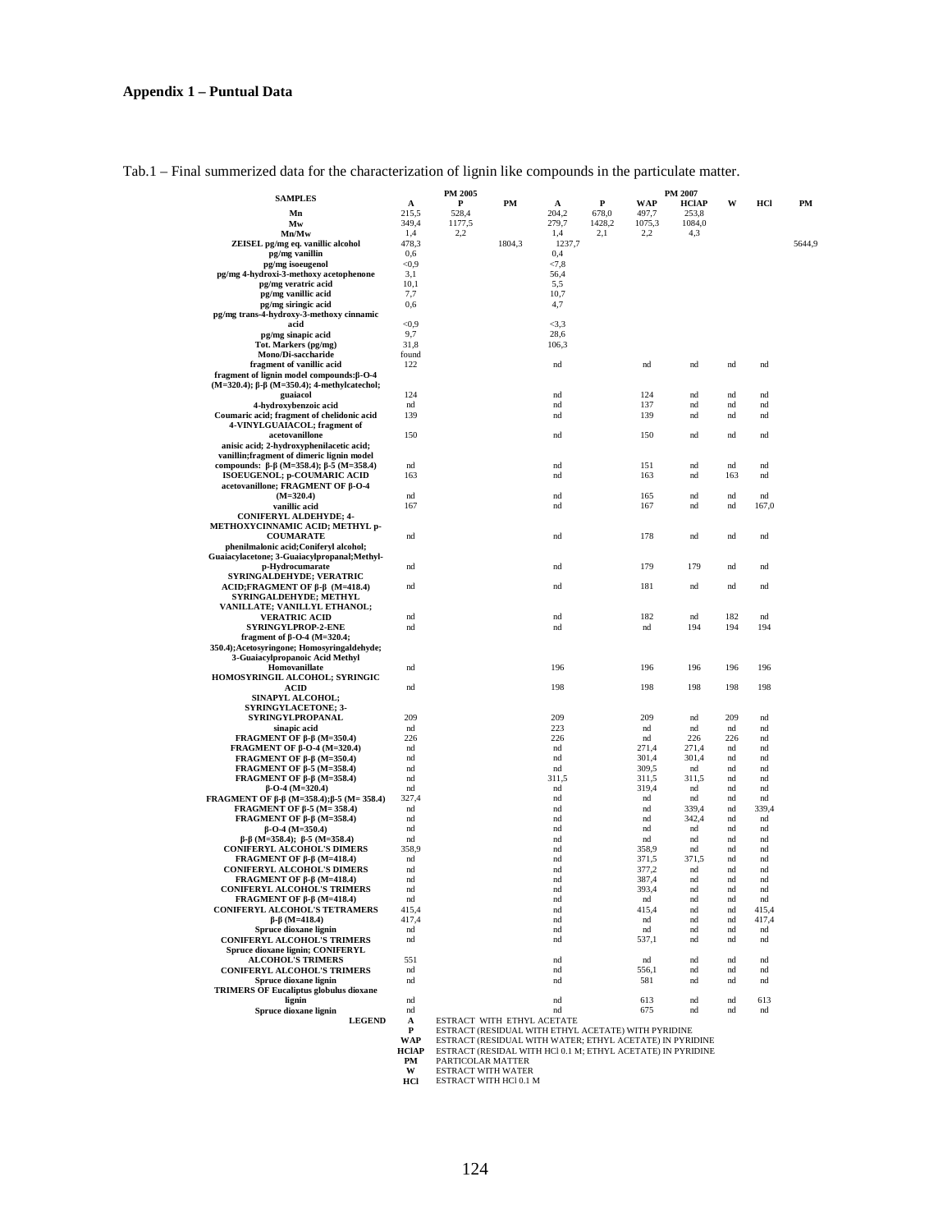|  |  |  | Tab.1 – Final summerized data for the characterization of lignin like compounds in the particulate matter. |  |
|--|--|--|------------------------------------------------------------------------------------------------------------|--|
|  |  |  |                                                                                                            |  |

| <b>SAMPLES</b>                                                                |                     | PM 2005                                                                          |        |                    |                 |                | PM 2007       |            |           |        |
|-------------------------------------------------------------------------------|---------------------|----------------------------------------------------------------------------------|--------|--------------------|-----------------|----------------|---------------|------------|-----------|--------|
|                                                                               | A                   | P                                                                                | PM     | A                  | P               | WAP            | HClAP         | W          | нcі       | PМ     |
| Mn                                                                            | 215.5<br>349,4      | 528,4                                                                            |        | 204,2<br>279,7     | 678,0<br>1428,2 | 497,7          | 253,8         |            |           |        |
| Mw<br>Mn/Mw                                                                   | 1,4                 | 1177,5<br>2,2                                                                    |        | 1,4                | 2,1             | 1075,3<br>2,2  | 1084,0<br>4,3 |            |           |        |
| ZEISEL pg/mg eq. vanillic alcohol                                             | 478,3               |                                                                                  | 1804,3 | 1237,7             |                 |                |               |            |           | 5644,9 |
| pg/mg vanillin                                                                | 0,6                 |                                                                                  |        | 0,4                |                 |                |               |            |           |        |
| pg/mg isoeugenol                                                              | < 0.9               |                                                                                  |        | < 7, 8             |                 |                |               |            |           |        |
| pg/mg 4-hydroxi-3-methoxy acetophenone                                        | 3,1                 |                                                                                  |        | 56,4               |                 |                |               |            |           |        |
| pg/mg veratric acid                                                           | 10,1                |                                                                                  |        | 5,5                |                 |                |               |            |           |        |
| pg/mg vanillic acid                                                           | 7,7                 |                                                                                  |        | 10,7               |                 |                |               |            |           |        |
| pg/mg siringic acid                                                           | 0.6                 |                                                                                  |        | 4,7                |                 |                |               |            |           |        |
| pg/mg trans-4-hydroxy-3-methoxy cinnamic                                      |                     |                                                                                  |        |                    |                 |                |               |            |           |        |
| acid                                                                          | < 0.9<br>9,7        |                                                                                  |        | $\leq$ 3,3<br>28,6 |                 |                |               |            |           |        |
| pg/mg sinapic acid<br>Tot. Markers (pg/mg)                                    | 31,8                |                                                                                  |        | 106,3              |                 |                |               |            |           |        |
| Mono/Di-saccharide                                                            | found               |                                                                                  |        |                    |                 |                |               |            |           |        |
| fragment of vanillic acid                                                     | 122                 |                                                                                  |        | nd                 |                 | nd             | nd            | nd         | nd        |        |
| fragment of lignin model compounds: $\beta$ -O-4                              |                     |                                                                                  |        |                    |                 |                |               |            |           |        |
| (M=320.4); β-β (M=350.4); 4-methylcatechol;                                   |                     |                                                                                  |        |                    |                 |                |               |            |           |        |
| guaiacol                                                                      | 124                 |                                                                                  |        | nd                 |                 | 124            | nd            | nd         | nd        |        |
| 4-hydroxybenzoic acid                                                         | nd                  |                                                                                  |        | nd                 |                 | 137            | nd            | nd         | nd        |        |
| Coumaric acid; fragment of chelidonic acid                                    | 139                 |                                                                                  |        | nd                 |                 | 139            | nd            | nd         | nd        |        |
| 4-VINYLGUAIACOL; fragment of<br>acetovanillone                                | 150                 |                                                                                  |        | nd                 |                 | 150            | nd            | nd         | nd        |        |
| anisic acid; 2-hydroxyphenilacetic acid;                                      |                     |                                                                                  |        |                    |                 |                |               |            |           |        |
| vanillin; fragment of dimeric lignin model                                    |                     |                                                                                  |        |                    |                 |                |               |            |           |        |
| compounds: $\beta$ - $\beta$ (M=358.4); $\beta$ -5 (M=358.4)                  | nd                  |                                                                                  |        | nd                 |                 | 151            | nd            | nd         | nd        |        |
| ISOEUGENOL; p-COUMARIC ACID                                                   | 163                 |                                                                                  |        | nd                 |                 | 163            | nd            | 163        | nd        |        |
| acetovanillone; FRAGMENT OF β-O-4                                             |                     |                                                                                  |        |                    |                 |                |               |            |           |        |
| $(M=320.4)$                                                                   | nd                  |                                                                                  |        | nd                 |                 | 165            | nd            | nd         | nd        |        |
| vanillic acid                                                                 | 167                 |                                                                                  |        | nd                 |                 | 167            | nd            | nd         | 167,0     |        |
| <b>CONIFERYL ALDEHYDE; 4-</b>                                                 |                     |                                                                                  |        |                    |                 |                |               |            |           |        |
| METHOXYCINNAMIC ACID; METHYL p-<br><b>COUMARATE</b>                           | nd                  |                                                                                  |        | nd                 |                 | 178            | nd            | nd         | nd        |        |
| phenilmalonic acid; Coniferyl alcohol;                                        |                     |                                                                                  |        |                    |                 |                |               |            |           |        |
| Guaiacylacetone; 3-Guaiacylpropanal; Methyl-                                  |                     |                                                                                  |        |                    |                 |                |               |            |           |        |
| p-Hydrocumarate                                                               | nd                  |                                                                                  |        | nd                 |                 | 179            | 179           | nd         | nd        |        |
| <b>SYRINGALDEHYDE; VERATRIC</b>                                               |                     |                                                                                  |        |                    |                 |                |               |            |           |        |
| $ACID; FRAGMENT OF \beta-\beta (M=418.4)$                                     | nd                  |                                                                                  |        | nd                 |                 | 181            | nd            | nd         | nd        |        |
| SYRINGALDEHYDE; METHYL                                                        |                     |                                                                                  |        |                    |                 |                |               |            |           |        |
| VANILLATE; VANILLYL ETHANOL;                                                  |                     |                                                                                  |        |                    |                 |                |               |            |           |        |
| <b>VERATRIC ACID</b><br>SYRINGYLPROP-2-ENE                                    | nd<br>nd            |                                                                                  |        | nd<br>nd           |                 | 182<br>nd      | nd<br>194     | 182<br>194 | nd<br>194 |        |
| fragment of $\beta$ -O-4 (M=320.4;                                            |                     |                                                                                  |        |                    |                 |                |               |            |           |        |
| 350.4); Acetosyringone; Homosyringaldehyde;                                   |                     |                                                                                  |        |                    |                 |                |               |            |           |        |
| 3-Guaiacylpropanoic Acid Methyl                                               |                     |                                                                                  |        |                    |                 |                |               |            |           |        |
| Homovanillate                                                                 | nd                  |                                                                                  |        | 196                |                 | 196            | 196           | 196        | 196       |        |
| HOMOSYRINGIL ALCOHOL; SYRINGIC                                                |                     |                                                                                  |        |                    |                 |                |               |            |           |        |
| ACID<br>SINAPYL ALCOHOL;                                                      | nd                  |                                                                                  |        | 198                |                 | 198            | 198           | 198        | 198       |        |
| <b>SYRINGYLACETONE; 3-</b>                                                    |                     |                                                                                  |        |                    |                 |                |               |            |           |        |
| SYRINGYLPROPANAL                                                              | 209                 |                                                                                  |        | 209                |                 | 209            | nd            | 209        | nd        |        |
| sinapic acid                                                                  | nd                  |                                                                                  |        | 223                |                 | nd             | nd            | nd         | nd        |        |
| FRAGMENT OF $\beta$ - $\beta$ (M=350.4)                                       | 226                 |                                                                                  |        | 226                |                 | nd             | 226           | 226        | nd        |        |
| FRAGMENT OF $\beta$ -O-4 (M=320.4)                                            | nd                  |                                                                                  |        | nd                 |                 | 271,4          | 271,4         | nd         | nd        |        |
| FRAGMENT OF $\beta$ - $\beta$ (M=350.4)                                       | nd                  |                                                                                  |        | nd                 |                 | 301,4          | 301,4         | nd         | nd        |        |
| FRAGMENT OF $\beta$ -5 (M=358.4)                                              | nd                  |                                                                                  |        | nd                 |                 | 309,5          | nd            | nd         | nd        |        |
| FRAGMENT OF $\beta$ - $\beta$ (M=358.4)<br>$\beta$ -O-4 (M=320.4)             | nd                  |                                                                                  |        | 311,5              |                 | 311,5<br>319,4 | 311,5<br>nd   | nd         | nd        |        |
| FRAGMENT OF $\beta$ - $\beta$ (M=358.4); $\beta$ -5 (M=358.4)                 | nd<br>327,4         |                                                                                  |        | nd<br>nd           |                 | nd             | nd            | nd<br>nd   | nd<br>nd  |        |
| FRAGMENT OF $\beta$ -5 (M= 358.4)                                             | nd                  |                                                                                  |        | nd                 |                 | nd             | 339,4         | nd         | 339,4     |        |
| FRAGMENT OF $\beta$ - $\beta$ (M=358.4)                                       | nd                  |                                                                                  |        | nd                 |                 | nd             | 342,4         | nd         | nd        |        |
| $\beta$ -O-4 (M=350.4)                                                        | nd                  |                                                                                  |        | nd                 |                 | nd             | nd            | nd         | nd        |        |
| $\beta$ - $\beta$ (M=358.4); $\beta$ -5 (M=358.4)                             | nd                  |                                                                                  |        | nd                 |                 | nd             | nd            | nd         | nd        |        |
| <b>CONIFERYL ALCOHOL'S DIMERS</b>                                             | 358,9               |                                                                                  |        | nd                 |                 | 358,9          | nd            | nd         | nd        |        |
| FRAGMENT OF $\beta$ - $\beta$ (M=418.4)                                       | nd                  |                                                                                  |        | nd                 |                 | 371,5          | 371,5         | nd         | nd        |        |
| <b>CONIFERYL ALCOHOL'S DIMERS</b>                                             | nd<br>nd            |                                                                                  |        | nd<br>nd           |                 | 377,2<br>387,4 | nd<br>nd      | nd<br>nd   | nd<br>nd  |        |
| FRAGMENT OF $\beta$ - $\beta$ (M=418.4)<br><b>CONIFERYL ALCOHOL'S TRIMERS</b> | nd                  |                                                                                  |        | nd                 |                 | 393,4          | nd            | nd         | nd        |        |
| FRAGMENT OF $\beta$ - $\beta$ (M=418.4)                                       | nd                  |                                                                                  |        | nd                 |                 | nd             | nd            | nd         | nd        |        |
| CONIFERYL ALCOHOL'S TETRAMERS                                                 | 415,4               |                                                                                  |        | nd                 |                 | 415,4          | nd            | nd         | 415,4     |        |
| $\beta$ - $\beta$ (M=418.4)                                                   | 417,4               |                                                                                  |        | nd                 |                 | nd             | nd            | nd         | 417,4     |        |
| Spruce dioxane lignin                                                         | nd                  |                                                                                  |        | nd                 |                 | nd             | nd            | nd         | nd        |        |
| <b>CONIFERYL ALCOHOL'S TRIMERS</b>                                            | nd                  |                                                                                  |        | nd                 |                 | 537,1          | nd            | nd         | nd        |        |
| Spruce dioxane lignin: CONIFERYL                                              |                     |                                                                                  |        |                    |                 |                |               |            |           |        |
| <b>ALCOHOL'S TRIMERS</b><br><b>CONIFERYL ALCOHOL'S TRIMERS</b>                | 551<br>nd           |                                                                                  |        | nd                 |                 | nd<br>556,1    | nd            | nd         | nd        |        |
| Spruce dioxane lignin                                                         | nd                  |                                                                                  |        | $^{\rm nd}$<br>nd  |                 | 581            | nd<br>nd      | nd<br>nd   | nd<br>nd  |        |
| <b>TRIMERS OF Eucaliptus globulus dioxane</b>                                 |                     |                                                                                  |        |                    |                 |                |               |            |           |        |
| lignin                                                                        | nd                  |                                                                                  |        | nd                 |                 | 613            | nd            | nd         | 613       |        |
| Spruce dioxane lignin                                                         | nd                  |                                                                                  |        | nd                 |                 | 675            | nd            | nd         | nd        |        |
| <b>LEGEND</b>                                                                 | A                   | ESTRACT WITH ETHYL ACETATE                                                       |        |                    |                 |                |               |            |           |        |
|                                                                               | P                   | ESTRACT (RESIDUAL WITH ETHYL ACETATE) WITH PYRIDINE                              |        |                    |                 |                |               |            |           |        |
|                                                                               | WAP<br><b>HCIAP</b> | ESTRACT (RESIDUAL WITH WATER; ETHYL ACETATE) IN PYRIDINE                         |        |                    |                 |                |               |            |           |        |
|                                                                               | PM                  | ESTRACT (RESIDAL WITH HCI 0.1 M; ETHYL ACETATE) IN PYRIDINE<br>PARTICOLAR MATTER |        |                    |                 |                |               |            |           |        |
|                                                                               | W                   | <b>ESTRACT WITH WATER</b>                                                        |        |                    |                 |                |               |            |           |        |
|                                                                               | нcі                 | ESTRACT WITH HCl 0.1 M                                                           |        |                    |                 |                |               |            |           |        |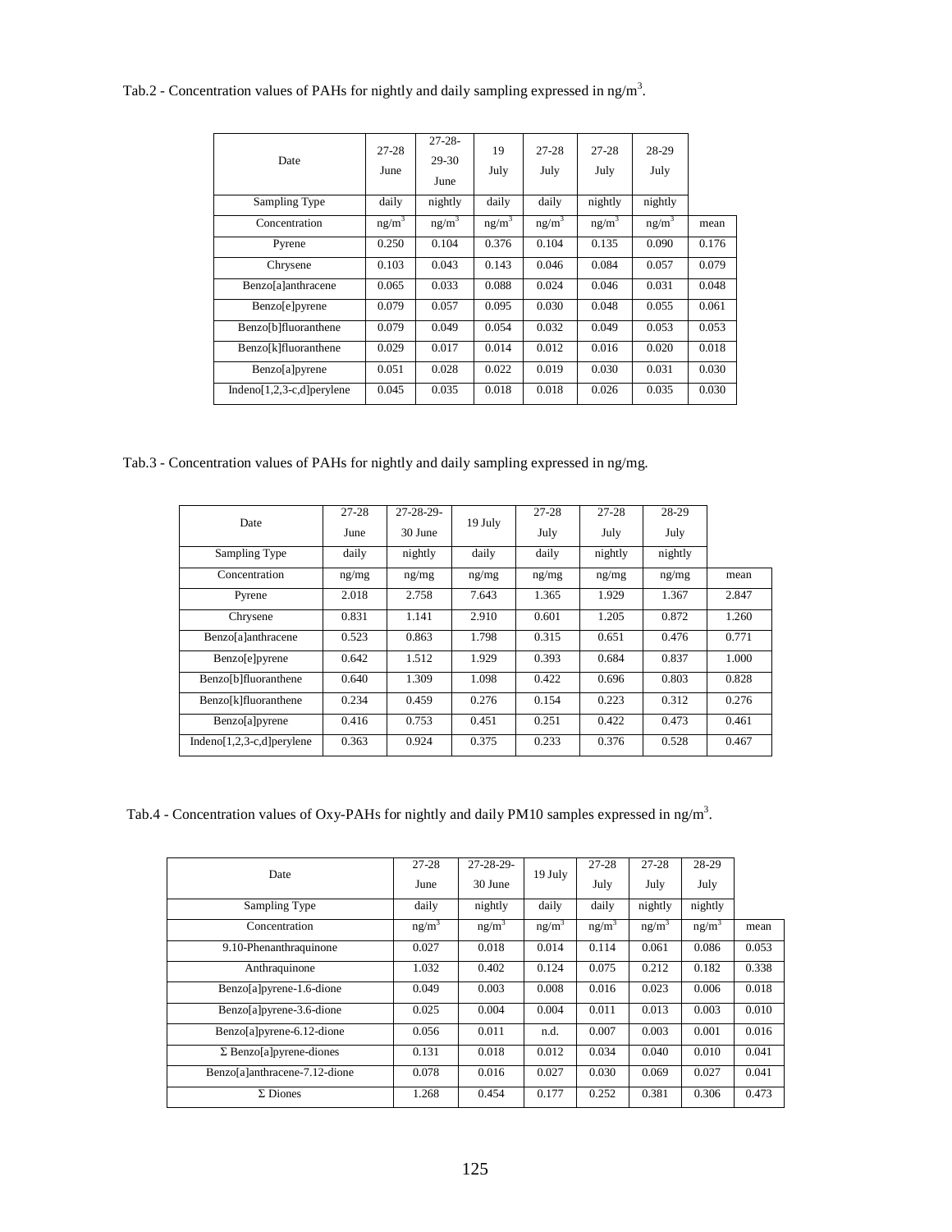Tab.2 - Concentration values of PAHs for nightly and daily sampling expressed in ng/m<sup>3</sup>.

| Date                       | $27 - 28$<br>June | $27 - 28 -$<br>29-30<br>June | 19<br>July        | $27 - 28$<br>July | $27 - 28$<br>July | 28-29<br>July |       |
|----------------------------|-------------------|------------------------------|-------------------|-------------------|-------------------|---------------|-------|
| Sampling Type              | daily             | nightly                      | daily             | daily             | nightly           | nightly       |       |
| Concentration              | ng/m <sup>3</sup> | $ng/m^3$                     | ng/m <sup>3</sup> | ng/m <sup>3</sup> | ng/m <sup>3</sup> | $ng/m^3$      | mean  |
| Pyrene                     | 0.250             | 0.104                        | 0.376             | 0.104             | 0.135             | 0.090         | 0.176 |
| Chrysene                   | 0.103             | 0.043                        | 0.143             | 0.046             | 0.084             | 0.057         | 0.079 |
| Benzo[a]anthracene         | 0.065             | 0.033                        | 0.088             | 0.024             | 0.046             | 0.031         | 0.048 |
| Benzo[e]pyrene             | 0.079             | 0.057                        | 0.095             | 0.030             | 0.048             | 0.055         | 0.061 |
| Benzo[b]fluoranthene       | 0.079             | 0.049                        | 0.054             | 0.032             | 0.049             | 0.053         | 0.053 |
| Benzo[k]fluoranthene       | 0.029             | 0.017                        | 0.014             | 0.012             | 0.016             | 0.020         | 0.018 |
| Benzo[a]pyrene             | 0.051             | 0.028                        | 0.022             | 0.019             | 0.030             | 0.031         | 0.030 |
| Indeno[1,2,3-c,d] perylene | 0.045             | 0.035                        | 0.018             | 0.018             | 0.026             | 0.035         | 0.030 |

Tab.3 - Concentration values of PAHs for nightly and daily sampling expressed in ng/mg.

|                             | $27 - 28$ | $27 - 28 - 29$ |         | $27 - 28$ | $27 - 28$ | 28-29   |       |
|-----------------------------|-----------|----------------|---------|-----------|-----------|---------|-------|
| Date                        | June      | 30 June        | 19 July | July      | July      | July    |       |
| Sampling Type               | daily     | nightly        | daily   | daily     | nightly   | nightly |       |
| Concentration               | ng/mg     | ng/mg          | ng/mg   | ng/mg     | ng/mg     | ng/mg   | mean  |
| Pyrene                      | 2.018     | 2.758          | 7.643   | 1.365     | 1.929     | 1.367   | 2.847 |
| Chrysene                    | 0.831     | 1.141          | 2.910   | 0.601     | 1.205     | 0.872   | 1.260 |
| Benzo[a]anthracene          | 0.523     | 0.863          | 1.798   | 0.315     | 0.651     | 0.476   | 0.771 |
| <b>Benzo</b> [e]pyrene      | 0.642     | 1.512          | 1.929   | 0.393     | 0.684     | 0.837   | 1.000 |
| Benzo[b]fluoranthene        | 0.640     | 1.309          | 1.098   | 0.422     | 0.696     | 0.803   | 0.828 |
| Benzo[k]fluoranthene        | 0.234     | 0.459          | 0.276   | 0.154     | 0.223     | 0.312   | 0.276 |
| Benzo[a]pyrene              | 0.416     | 0.753          | 0.451   | 0.251     | 0.422     | 0.473   | 0.461 |
| Indeno[1,2,3-c,d] per ylene | 0.363     | 0.924          | 0.375   | 0.233     | 0.376     | 0.528   | 0.467 |

Tab.4 - Concentration values of Oxy-PAHs for nightly and daily PM10 samples expressed in ng/m<sup>3</sup>.

|                                | $27 - 28$ | $27 - 28 - 29$    |          | $27-28$  | $27 - 28$ | 28-29    |       |
|--------------------------------|-----------|-------------------|----------|----------|-----------|----------|-------|
| Date                           | June      | 30 June           | 19 July  | July     | July      | July     |       |
| Sampling Type                  | daily     | nightly           | daily    | daily    | nightly   | nightly  |       |
| Concentration                  | $ng/m^3$  | ng/m <sup>3</sup> | $ng/m^3$ | $ng/m^3$ | $ng/m^3$  | $ng/m^3$ | mean  |
| 9.10-Phenanthraquinone         | 0.027     | 0.018             | 0.014    | 0.114    | 0.061     | 0.086    | 0.053 |
| Anthraquinone                  | 1.032     | 0.402             | 0.124    | 0.075    | 0.212     | 0.182    | 0.338 |
| Benzo[a]pyrene-1.6-dione       | 0.049     | 0.003             | 0.008    | 0.016    | 0.023     | 0.006    | 0.018 |
| Benzo[a]pyrene-3.6-dione       | 0.025     | 0.004             | 0.004    | 0.011    | 0.013     | 0.003    | 0.010 |
| Benzo[a]pyrene-6.12-dione      | 0.056     | 0.011             | n.d.     | 0.007    | 0.003     | 0.001    | 0.016 |
| $\Sigma$ Benzo[a]pyrene-diones | 0.131     | 0.018             | 0.012    | 0.034    | 0.040     | 0.010    | 0.041 |
| Benzo[a]anthracene-7.12-dione  | 0.078     | 0.016             | 0.027    | 0.030    | 0.069     | 0.027    | 0.041 |
| $\Sigma$ Diones                | 1.268     | 0.454             | 0.177    | 0.252    | 0.381     | 0.306    | 0.473 |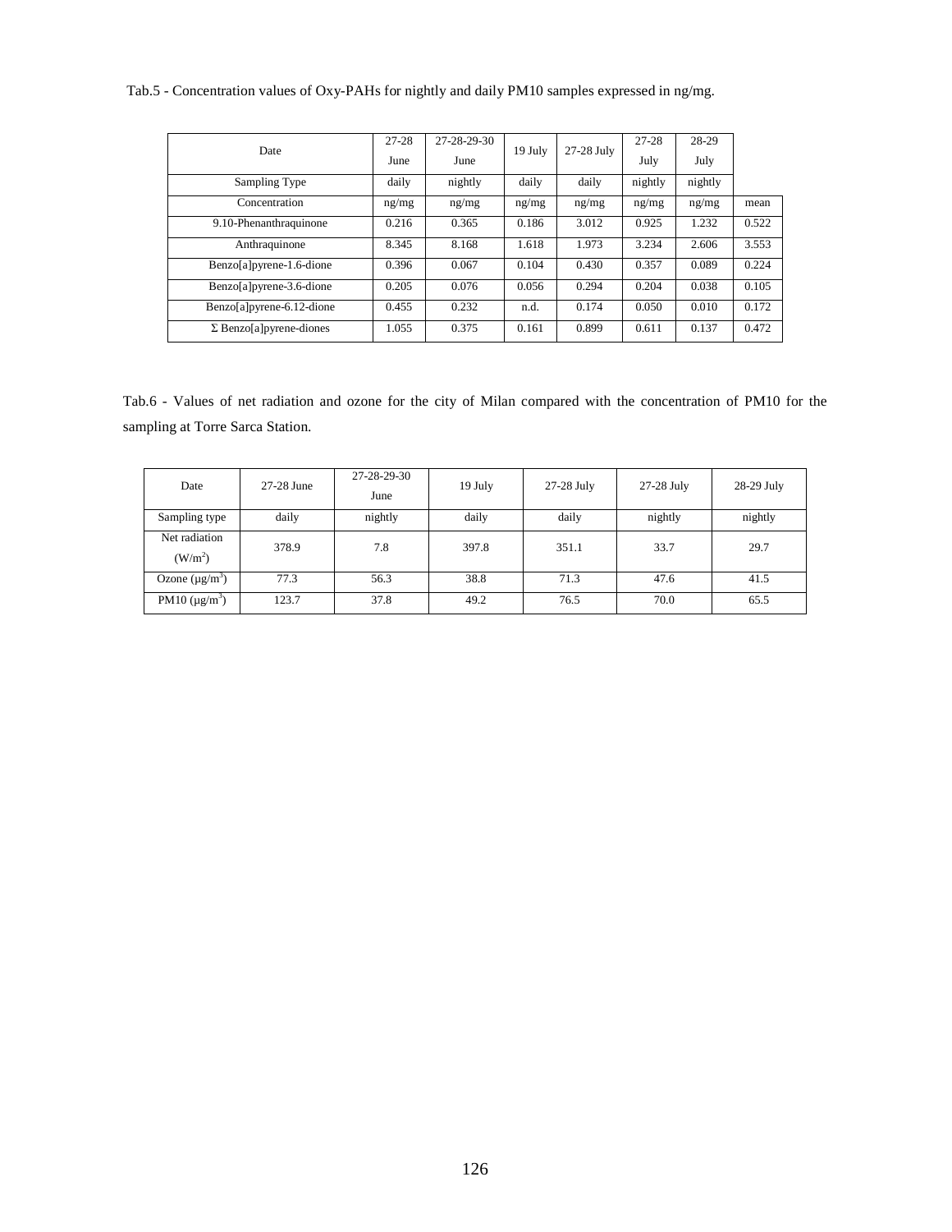## Tab.5 - Concentration values of Oxy-PAHs for nightly and daily PM10 samples expressed in ng/mg.

| Date                            | $27 - 28$ | 27-28-29-30 | 19 July | 27-28 July | 27-28   | 28-29   |       |
|---------------------------------|-----------|-------------|---------|------------|---------|---------|-------|
|                                 | June      | June        |         |            | July    | July    |       |
| Sampling Type                   | daily     | nightly     | daily   | daily      | nightly | nightly |       |
| Concentration                   | ng/mg     | ng/mg       | ng/mg   | ng/mg      | ng/mg   | ng/mg   | mean  |
| 9.10-Phenanthraquinone          | 0.216     | 0.365       | 0.186   | 3.012      | 0.925   | 1.232   | 0.522 |
| Anthraquinone                   | 8.345     | 8.168       | 1.618   | 1.973      | 3.234   | 2.606   | 3.553 |
| Benzo[a]pyrene-1.6-dione        | 0.396     | 0.067       | 0.104   | 0.430      | 0.357   | 0.089   | 0.224 |
| Benzo[a]pyrene-3.6-dione        | 0.205     | 0.076       | 0.056   | 0.294      | 0.204   | 0.038   | 0.105 |
| Benzo[a]pyrene-6.12-dione       | 0.455     | 0.232       | n.d.    | 0.174      | 0.050   | 0.010   | 0.172 |
| $\Sigma$ Benzo[a] pyrene-diones | 1.055     | 0.375       | 0.161   | 0.899      | 0.611   | 0.137   | 0.472 |

Tab.6 - Values of net radiation and ozone for the city of Milan compared with the concentration of PM10 for the sampling at Torre Sarca Station.

| Date                                 | 27-28 June | 27-28-29-30<br>June | 19 July | 27-28 July | 27-28 July | 28-29 July |
|--------------------------------------|------------|---------------------|---------|------------|------------|------------|
| Sampling type                        | daily      | nightly             | daily   | daily      | nightly    | nightly    |
| Net radiation<br>(W/m <sup>2</sup> ) | 378.9      | 7.8                 | 397.8   | 351.1      | 33.7       | 29.7       |
| Ozone $(\mu g/m^3)$                  | 77.3       | 56.3                | 38.8    | 71.3       | 47.6       | 41.5       |
| PM10 $(\mu g/m^3)$                   | 123.7      | 37.8                | 49.2    | 76.5       | 70.0       | 65.5       |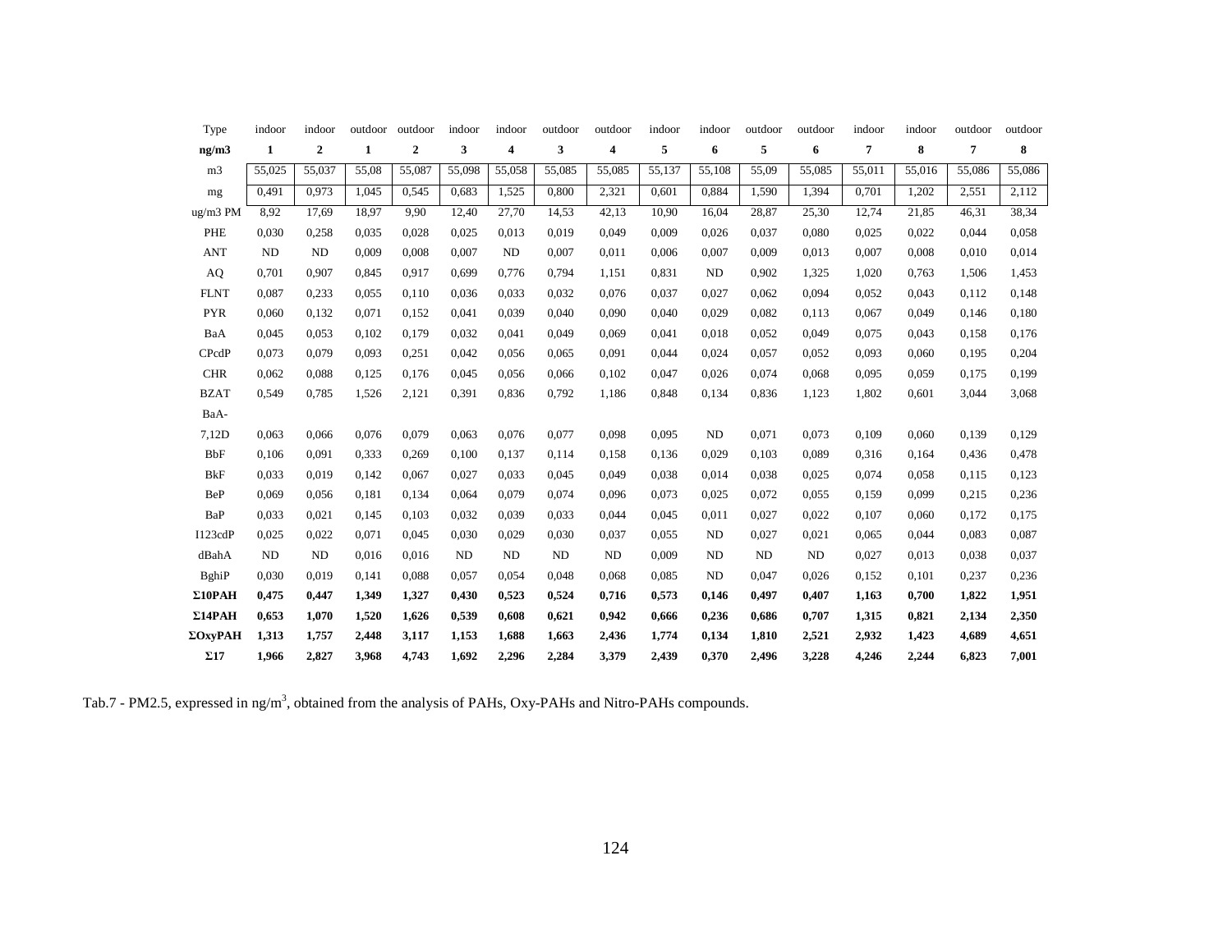| Type           | indoor       | indoor       | outdoor      | outdoor          | indoor     | indoor     | outdoor | outdoor | indoor | indoor | outdoor | outdoor | indoor | indoor | outdoor | outdoor |
|----------------|--------------|--------------|--------------|------------------|------------|------------|---------|---------|--------|--------|---------|---------|--------|--------|---------|---------|
| ng/m3          | $\mathbf{1}$ | $\mathbf{2}$ | $\mathbf{1}$ | $\boldsymbol{2}$ | 3          | 4          | 3       | 4       | 5      | 6      | 5       | 6       | 7      | 8      | 7       | 8       |
| m <sub>3</sub> | 55,025       | 55,037       | 55,08        | 55,087           | 55,098     | 55,058     | 55,085  | 55,085  | 55,137 | 55,108 | 55,09   | 55,085  | 55,011 | 55,016 | 55,086  | 55,086  |
| mg             | 0,491        | 0.973        | 1,045        | 0,545            | 0,683      | 1,525      | 0,800   | 2,321   | 0,601  | 0.884  | 1,590   | 1,394   | 0,701  | 1,202  | 2,551   | 2,112   |
| ug/m3 PM       | 8.92         | 17,69        | 18,97        | 9,90             | 12,40      | 27,70      | 14,53   | 42,13   | 10,90  | 16,04  | 28,87   | 25,30   | 12,74  | 21,85  | 46,31   | 38,34   |
| PHE            | 0,030        | 0,258        | 0,035        | 0,028            | 0,025      | 0,013      | 0,019   | 0,049   | 0,009  | 0,026  | 0,037   | 0,080   | 0,025  | 0,022  | 0,044   | 0,058   |
| <b>ANT</b>     | ND           | <b>ND</b>    | 0.009        | 0,008            | 0,007      | ND         | 0,007   | 0,011   | 0.006  | 0.007  | 0.009   | 0,013   | 0,007  | 0.008  | 0,010   | 0,014   |
| AQ             | 0,701        | 0,907        | 0,845        | 0,917            | 0,699      | 0,776      | 0,794   | 1,151   | 0,831  | ND     | 0,902   | 1,325   | 1,020  | 0.763  | 1,506   | 1,453   |
| <b>FLNT</b>    | 0,087        | 0,233        | 0,055        | 0,110            | 0,036      | 0,033      | 0,032   | 0,076   | 0,037  | 0,027  | 0,062   | 0,094   | 0.052  | 0,043  | 0,112   | 0,148   |
| <b>PYR</b>     | 0.060        | 0.132        | 0,071        | 0,152            | 0,041      | 0,039      | 0,040   | 0,090   | 0.040  | 0,029  | 0,082   | 0,113   | 0,067  | 0.049  | 0,146   | 0,180   |
| BaA            | 0,045        | 0.053        | 0,102        | 0,179            | 0.032      | 0,041      | 0,049   | 0,069   | 0,041  | 0,018  | 0,052   | 0,049   | 0.075  | 0,043  | 0,158   | 0,176   |
| CPcdP          | 0,073        | 0,079        | 0,093        | 0,251            | 0,042      | 0,056      | 0,065   | 0,091   | 0,044  | 0,024  | 0,057   | 0,052   | 0.093  | 0,060  | 0,195   | 0,204   |
| <b>CHR</b>     | 0,062        | 0,088        | 0,125        | 0,176            | 0,045      | 0,056      | 0,066   | 0,102   | 0,047  | 0,026  | 0,074   | 0,068   | 0.095  | 0,059  | 0,175   | 0,199   |
| <b>BZAT</b>    | 0.549        | 0,785        | 1,526        | 2,121            | 0,391      | 0,836      | 0,792   | 1,186   | 0,848  | 0,134  | 0,836   | 1,123   | 1,802  | 0,601  | 3,044   | 3,068   |
| BaA-           |              |              |              |                  |            |            |         |         |        |        |         |         |        |        |         |         |
| 7,12D          | 0,063        | 0,066        | 0,076        | 0,079            | 0,063      | 0,076      | 0,077   | 0,098   | 0.095  | ND     | 0,071   | 0,073   | 0,109  | 0,060  | 0,139   | 0,129   |
| <b>BbF</b>     | 0,106        | 0.091        | 0,333        | 0,269            | 0,100      | 0,137      | 0,114   | 0,158   | 0,136  | 0.029  | 0,103   | 0,089   | 0.316  | 0.164  | 0,436   | 0,478   |
| <b>BkF</b>     | 0,033        | 0.019        | 0,142        | 0,067            | 0,027      | 0,033      | 0,045   | 0,049   | 0,038  | 0,014  | 0,038   | 0,025   | 0,074  | 0,058  | 0,115   | 0.123   |
| BeP            | 0,069        | 0,056        | 0,181        | 0,134            | 0,064      | 0,079      | 0.074   | 0,096   | 0.073  | 0,025  | 0,072   | 0,055   | 0,159  | 0,099  | 0,215   | 0,236   |
| BaP            | 0,033        | 0,021        | 0,145        | 0,103            | 0,032      | 0,039      | 0,033   | 0.044   | 0.045  | 0,011  | 0,027   | 0,022   | 0,107  | 0.060  | 0,172   | 0,175   |
| I123cdP        | 0,025        | 0,022        | 0,071        | 0,045            | 0,030      | 0,029      | 0,030   | 0,037   | 0.055  | ND     | 0,027   | 0,021   | 0.065  | 0,044  | 0,083   | 0,087   |
| dBahA          | <b>ND</b>    | ND           | 0,016        | 0,016            | ${\rm ND}$ | ${\rm ND}$ | ND      | ND      | 0,009  | ND     | ND      | ND      | 0,027  | 0,013  | 0,038   | 0,037   |
| <b>B</b> ghiP  | 0,030        | 0.019        | 0,141        | 0,088            | 0,057      | 0,054      | 0,048   | 0,068   | 0.085  | ND     | 0,047   | 0,026   | 0,152  | 0,101  | 0,237   | 0,236   |
| $\Sigma10$ PAH | 0,475        | 0,447        | 1,349        | 1,327            | 0,430      | 0,523      | 0,524   | 0,716   | 0,573  | 0,146  | 0,497   | 0,407   | 1,163  | 0,700  | 1,822   | 1,951   |
| $\Sigma14$ PAH | 0,653        | 1,070        | 1,520        | 1,626            | 0,539      | 0,608      | 0,621   | 0,942   | 0,666  | 0,236  | 0,686   | 0,707   | 1,315  | 0,821  | 2,134   | 2,350   |
| ΣΟχγΡΑΗ        | 1,313        | 1,757        | 2,448        | 3,117            | 1,153      | 1,688      | 1,663   | 2,436   | 1,774  | 0,134  | 1,810   | 2,521   | 2,932  | 1,423  | 4,689   | 4,651   |
| $\Sigma$ 17    | 1,966        | 2,827        | 3,968        | 4,743            | 1,692      | 2,296      | 2,284   | 3,379   | 2,439  | 0,370  | 2,496   | 3,228   | 4,246  | 2,244  | 6,823   | 7,001   |

Tab.7 - PM2.5, expressed in ng/m<sup>3</sup>, obtained from the analysis of PAHs, Oxy-PAHs and Nitro-PAHs compounds.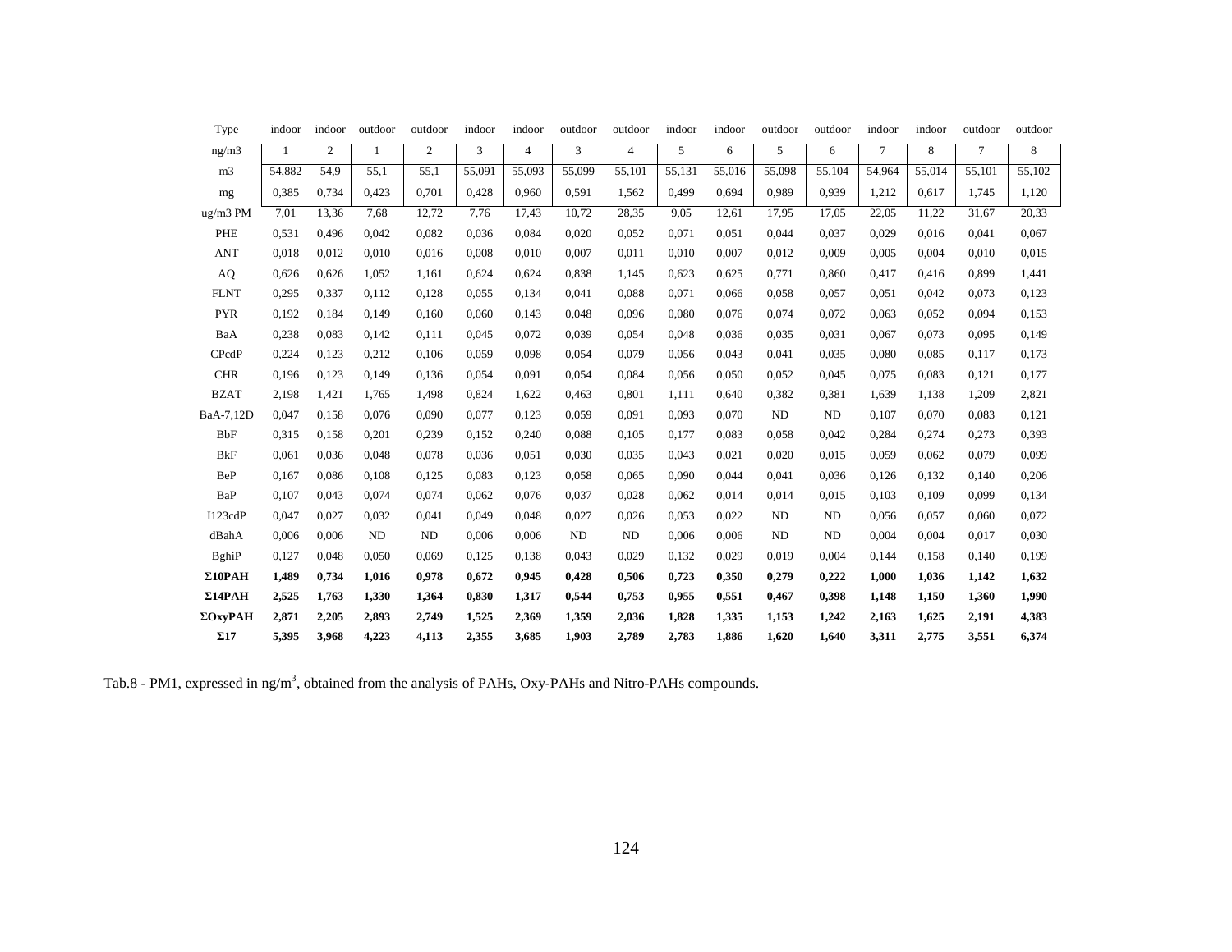| Type           | indoor | indoor         | outdoor   | outdoor        | indoor | indoor         | outdoor | outdoor        | indoor | indoor | outdoor | outdoor | indoor | indoor | outdoor | outdoor |
|----------------|--------|----------------|-----------|----------------|--------|----------------|---------|----------------|--------|--------|---------|---------|--------|--------|---------|---------|
| ng/m3          | 1      | $\overline{c}$ | 1         | $\mathfrak{2}$ | 3      | $\overline{4}$ | 3       | $\overline{4}$ | 5      | 6      | 5       | 6       | $\tau$ | 8      | $\tau$  | 8       |
| m <sub>3</sub> | 54,882 | 54,9           | 55,1      | 55,1           | 55,091 | 55,093         | 55,099  | 55,101         | 55,131 | 55,016 | 55,098  | 55,104  | 54,964 | 55,014 | 55,101  | 55,102  |
| mg             | 0.385  | 0.734          | 0,423     | 0,701          | 0,428  | 0,960          | 0,591   | 1,562          | 0,499  | 0,694  | 0,989   | 0,939   | 1,212  | 0,617  | 1.745   | 1,120   |
| ug/m3 PM       | 7,01   | 13,36          | 7,68      | 12,72          | 7,76   | 17,43          | 10,72   | 28,35          | 9.05   | 12,61  | 17,95   | 17,05   | 22,05  | 11,22  | 31,67   | 20,33   |
| PHE            | 0,531  | 0.496          | 0,042     | 0,082          | 0,036  | 0,084          | 0,020   | 0,052          | 0.071  | 0.051  | 0,044   | 0,037   | 0,029  | 0,016  | 0.041   | 0,067   |
| <b>ANT</b>     | 0.018  | 0.012          | 0,010     | 0,016          | 0,008  | 0,010          | 0,007   | 0,011          | 0,010  | 0,007  | 0,012   | 0,009   | 0,005  | 0,004  | 0,010   | 0,015   |
| AQ             | 0,626  | 0,626          | 1,052     | 1,161          | 0,624  | 0,624          | 0,838   | 1,145          | 0,623  | 0,625  | 0,771   | 0,860   | 0,417  | 0,416  | 0.899   | 1,441   |
| <b>FLNT</b>    | 0.295  | 0,337          | 0,112     | 0,128          | 0,055  | 0,134          | 0,041   | 0,088          | 0.071  | 0,066  | 0,058   | 0,057   | 0,051  | 0,042  | 0,073   | 0,123   |
| <b>PYR</b>     | 0,192  | 0.184          | 0,149     | 0,160          | 0,060  | 0,143          | 0,048   | 0,096          | 0.080  | 0,076  | 0,074   | 0,072   | 0,063  | 0,052  | 0,094   | 0,153   |
| BaA            | 0,238  | 0,083          | 0,142     | 0,111          | 0,045  | 0,072          | 0,039   | 0,054          | 0,048  | 0,036  | 0,035   | 0,031   | 0,067  | 0.073  | 0,095   | 0,149   |
| CPcdP          | 0,224  | 0,123          | 0,212     | 0,106          | 0,059  | 0,098          | 0,054   | 0,079          | 0,056  | 0,043  | 0,041   | 0,035   | 0,080  | 0.085  | 0.117   | 0,173   |
| <b>CHR</b>     | 0,196  | 0.123          | 0,149     | 0,136          | 0,054  | 0,091          | 0,054   | 0,084          | 0,056  | 0,050  | 0,052   | 0,045   | 0,075  | 0.083  | 0,121   | 0,177   |
| <b>BZAT</b>    | 2,198  | 1,421          | 1,765     | 1,498          | 0.824  | 1,622          | 0,463   | 0,801          | 1,111  | 0,640  | 0,382   | 0,381   | 1,639  | 1,138  | 1,209   | 2,821   |
| BaA-7,12D      | 0,047  | 0,158          | 0.076     | 0,090          | 0,077  | 0,123          | 0,059   | 0.091          | 0,093  | 0,070  | ND      | ND      | 0,107  | 0.070  | 0,083   | 0,121   |
| <b>BbF</b>     | 0.315  | 0,158          | 0,201     | 0,239          | 0,152  | 0,240          | 0,088   | 0,105          | 0,177  | 0.083  | 0,058   | 0,042   | 0,284  | 0,274  | 0,273   | 0,393   |
| <b>BkF</b>     | 0,061  | 0,036          | 0,048     | 0,078          | 0,036  | 0,051          | 0,030   | 0,035          | 0.043  | 0.021  | 0,020   | 0,015   | 0,059  | 0,062  | 0.079   | 0,099   |
| <b>BeP</b>     | 0,167  | 0.086          | 0,108     | 0,125          | 0,083  | 0,123          | 0,058   | 0,065          | 0,090  | 0,044  | 0,041   | 0,036   | 0,126  | 0,132  | 0,140   | 0,206   |
| BaP            | 0,107  | 0,043          | 0,074     | 0,074          | 0,062  | 0,076          | 0,037   | 0,028          | 0,062  | 0,014  | 0,014   | 0,015   | 0,103  | 0,109  | 0.099   | 0,134   |
| I123cdP        | 0,047  | 0,027          | 0,032     | 0,041          | 0,049  | 0,048          | 0,027   | 0,026          | 0.053  | 0,022  | ND      | ND      | 0,056  | 0.057  | 0,060   | 0,072   |
| dBahA          | 0,006  | 0,006          | <b>ND</b> | ND             | 0,006  | 0,006          | ND      | ND             | 0,006  | 0,006  | ND      | ND      | 0,004  | 0,004  | 0,017   | 0,030   |
| BghiP          | 0,127  | 0.048          | 0,050     | 0,069          | 0,125  | 0,138          | 0,043   | 0,029          | 0,132  | 0,029  | 0,019   | 0,004   | 0,144  | 0.158  | 0,140   | 0,199   |
| $\Sigma10$ PAH | 1,489  | 0,734          | 1,016     | 0,978          | 0,672  | 0,945          | 0,428   | 0,506          | 0,723  | 0,350  | 0,279   | 0,222   | 1,000  | 1,036  | 1,142   | 1,632   |
| $\Sigma14$ PAH | 2,525  | 1,763          | 1,330     | 1,364          | 0,830  | 1,317          | 0,544   | 0,753          | 0,955  | 0,551  | 0,467   | 0,398   | 1,148  | 1,150  | 1,360   | 1,990   |
| ΣΟχγΡΑΗ        | 2,871  | 2,205          | 2,893     | 2,749          | 1,525  | 2,369          | 1,359   | 2,036          | 1,828  | 1,335  | 1,153   | 1,242   | 2,163  | 1,625  | 2,191   | 4,383   |
| $\Sigma17$     | 5,395  | 3,968          | 4,223     | 4,113          | 2,355  | 3,685          | 1,903   | 2,789          | 2,783  | 1,886  | 1,620   | 1,640   | 3,311  | 2,775  | 3,551   | 6,374   |

Tab.8 - PM1, expressed in ng/m<sup>3</sup>, obtained from the analysis of PAHs, Oxy-PAHs and Nitro-PAHs compounds.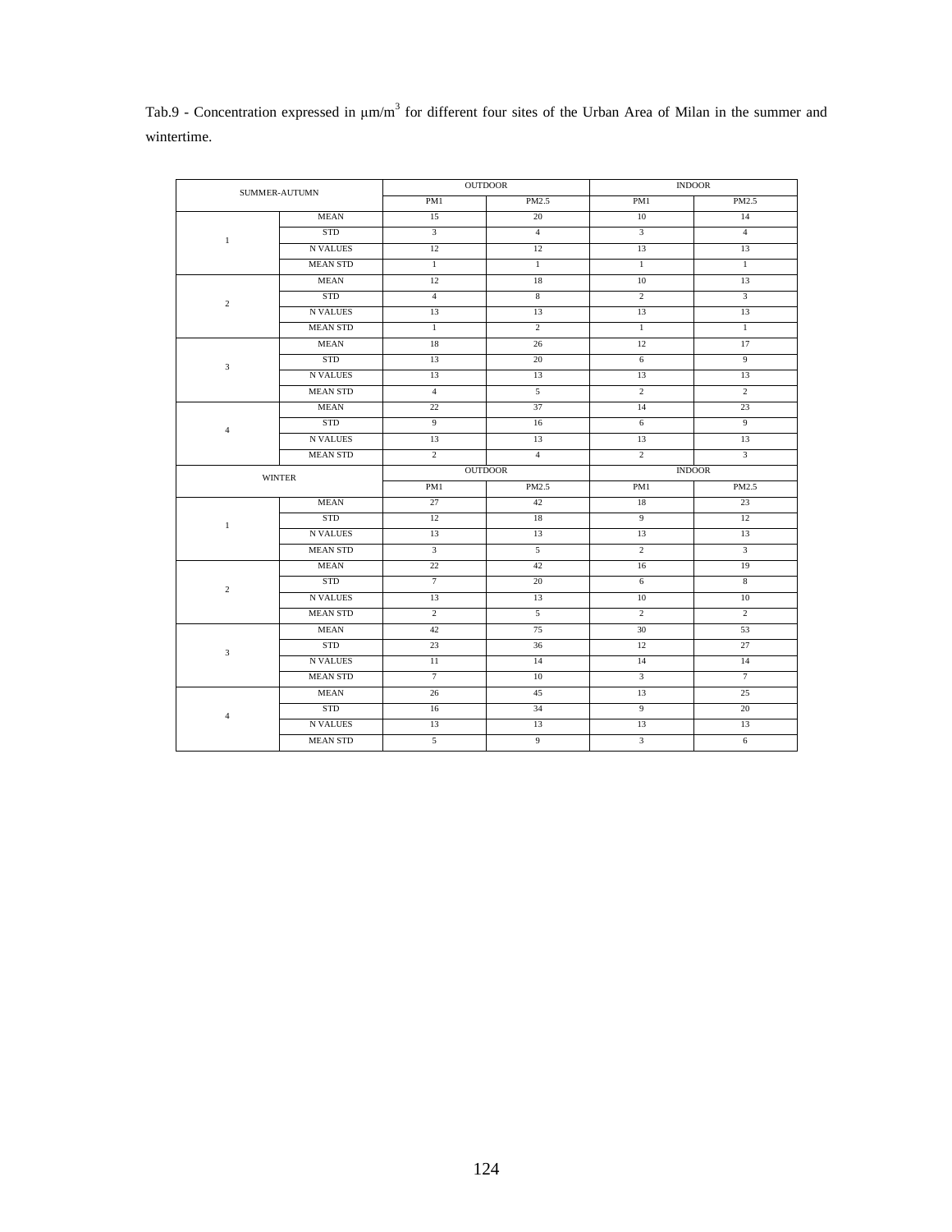| Tab.9 - Concentration expressed in $\mu$ m/m <sup>3</sup> for different four sites of the Urban Area of Milan in the summer and |  |  |  |  |  |  |  |
|---------------------------------------------------------------------------------------------------------------------------------|--|--|--|--|--|--|--|
| wintertime.                                                                                                                     |  |  |  |  |  |  |  |

| SUMMER-AUTUMN  |                 | <b>OUTDOOR</b> | <b>INDOOR</b>  |                |                 |  |
|----------------|-----------------|----------------|----------------|----------------|-----------------|--|
|                |                 | PM1            | PM2.5          | PM1            | PM2.5           |  |
|                | MEAN            | 15             | 20             | 10             | 14              |  |
| $\mathbf{1}$   | STD             | $\overline{3}$ | $\overline{4}$ | $\mathbf{3}$   | $\overline{4}$  |  |
|                | <b>N VALUES</b> | 12             | 12             | 13             | 13              |  |
|                | <b>MEAN STD</b> | $\mathbf{1}$   | $\mathbf{1}$   | $\mathbf{1}$   | $\mathbf{1}$    |  |
|                | <b>MEAN</b>     | 12             | 18             | 10             | 13              |  |
| $\overline{c}$ | STD             | $\overline{4}$ | $\,$ 8 $\,$    | $\sqrt{2}$     | 3               |  |
|                | <b>N VALUES</b> | 13             | 13             | 13             | 13              |  |
|                | <b>MEAN STD</b> | $\mathbf{1}$   | $\overline{2}$ | $\mathbf{1}$   | $\mathbf{1}$    |  |
|                | MEAN            | 18             | 26             | 12             | 17              |  |
| $\sqrt{3}$     | STD             | 13             | 20             | 6              | $\overline{9}$  |  |
|                | N VALUES        | 13             | 13             | 13             | 13              |  |
|                | <b>MEAN STD</b> | $\overline{4}$ | 5              | $\overline{c}$ | $\overline{2}$  |  |
|                | <b>MEAN</b>     | 22             | 37             | 14             | 23              |  |
| $\overline{4}$ | STD             | 9              | 16             | 6              | 9               |  |
|                | N VALUES        | 13             | 13             | 13             | 13              |  |
|                | <b>MEAN STD</b> | $\overline{c}$ | $\overline{4}$ | $\overline{c}$ | 3               |  |
|                | <b>WINTER</b>   |                | <b>OUTDOOR</b> |                | <b>INDOOR</b>   |  |
|                |                 | PM1            | PM2.5          | PM1            | PM2.5           |  |
|                | <b>MEAN</b>     | 27             | 42             | 18             | 23              |  |
| $\mathbf{1}$   | <b>STD</b>      | 12             | 18             | 9              | 12              |  |
|                | <b>N VALUES</b> | 13             | 13             | 13             | 13              |  |
|                |                 |                |                |                |                 |  |
|                | <b>MEAN STD</b> | $\mathbf{3}$   | 5              | $\overline{c}$ | $\mathfrak{Z}$  |  |
|                | MEAN            | 22             | 42             | 16             | 19              |  |
|                | STD             | $\overline{7}$ | 20             | 6              | 8               |  |
| $\overline{c}$ | N VALUES        | 13             | 13             | 10             | $10\,$          |  |
|                | <b>MEAN STD</b> | $\overline{2}$ | $\overline{5}$ | $\overline{c}$ | $\overline{2}$  |  |
|                | <b>MEAN</b>     | 42             | 75             | 30             | 53              |  |
|                | <b>STD</b>      | 23             | 36             | 12             | 27              |  |
| 3              | <b>N VALUES</b> | 11             | 14             | 14             | 14              |  |
|                | <b>MEAN STD</b> | $\overline{7}$ | 10             | 3              | $7\phantom{.0}$ |  |
|                | MEAN            | 26             | 45             | 13             | 25              |  |
|                | STD             | 16             | 34             | 9              | 20              |  |
| $\overline{4}$ | <b>N VALUES</b> | 13             | 13             | 13             | 13              |  |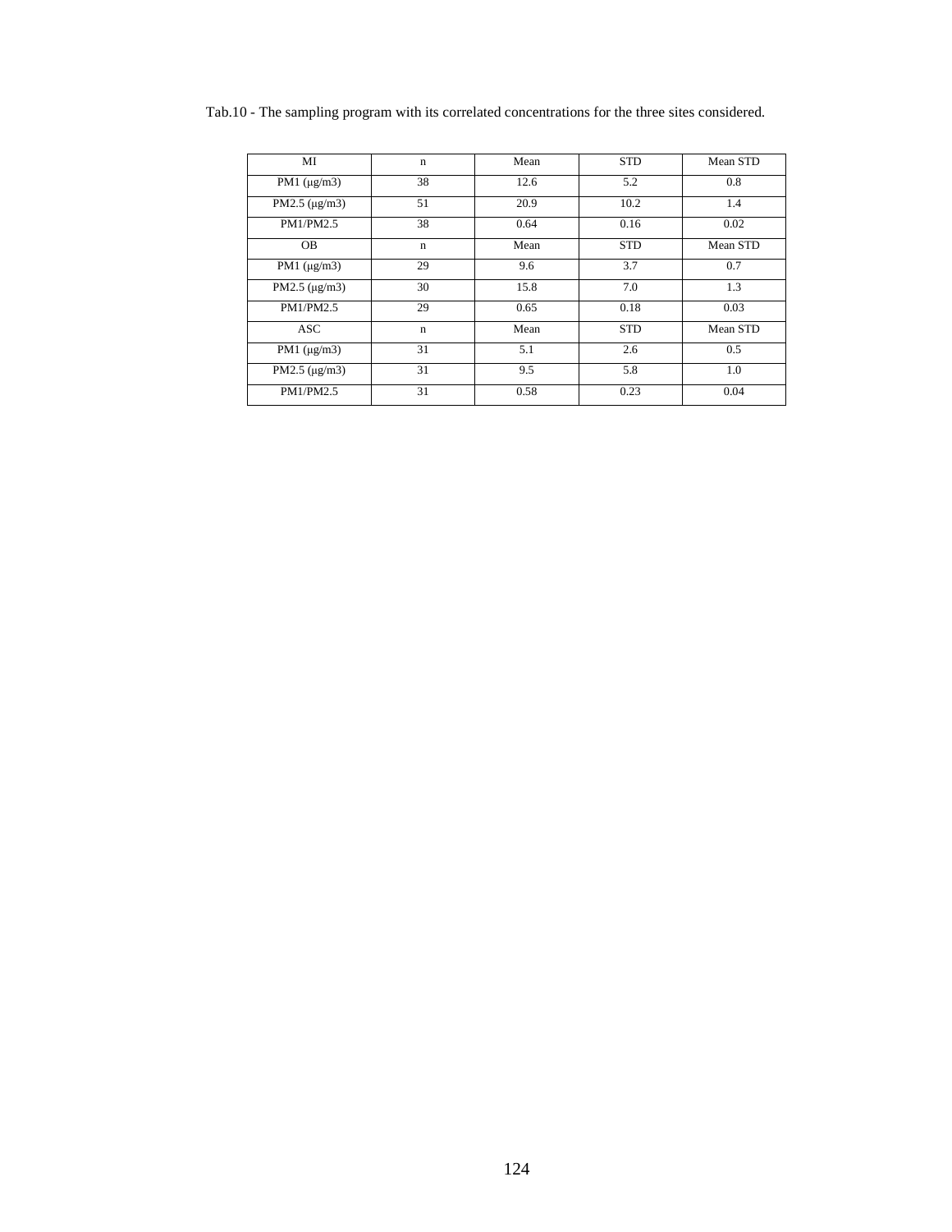| MI                 | $\mathbf n$ | Mean | <b>STD</b> | Mean STD |
|--------------------|-------------|------|------------|----------|
| PM1 $(\mu g/m3)$   | 38          | 12.6 | 5.2        | 0.8      |
| PM2.5 $(\mu g/m3)$ | 51          | 20.9 | 10.2       | 1.4      |
| PM1/PM2.5          | 38          | 0.64 | 0.16       | 0.02     |
| <b>OB</b>          | $\mathbf n$ | Mean | <b>STD</b> | Mean STD |
| PM1 $(\mu g/m3)$   | 29          | 9.6  | 3.7        | 0.7      |
| PM2.5 $(\mu g/m3)$ | 30          | 15.8 | 7.0        | 1.3      |
| PM1/PM2.5          | 29          | 0.65 | 0.18       | 0.03     |
| <b>ASC</b>         | $\mathbf n$ | Mean | <b>STD</b> | Mean STD |
| PM1 $(\mu g/m3)$   | 31          | 5.1  | 2.6        | 0.5      |
| PM2.5 $(\mu$ g/m3) | 31          | 9.5  | 5.8        | 1.0      |
| PM1/PM2.5          | 31          | 0.58 | 0.23       | 0.04     |

Tab.10 - The sampling program with its correlated concentrations for the three sites considered.